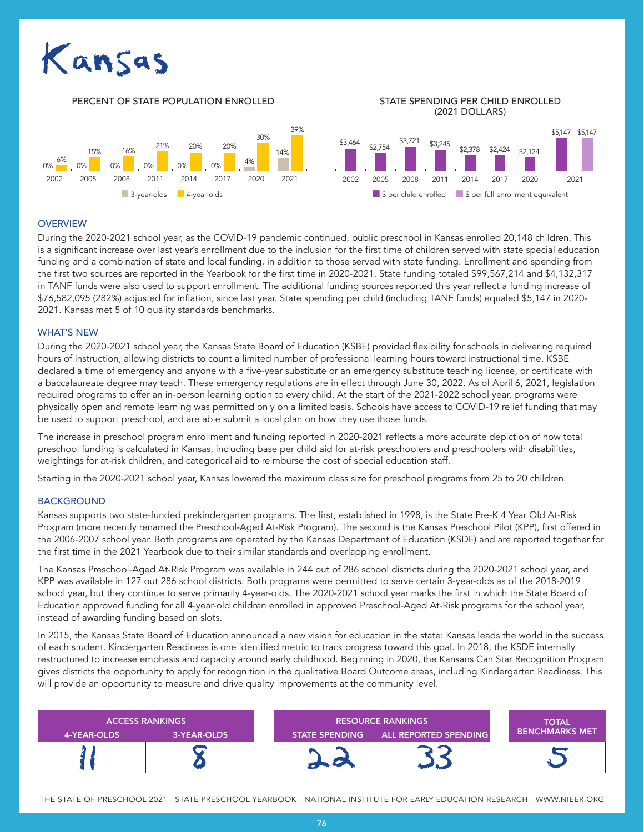# Kansas

#### <u>data terminal di sebagai pada 2002.</u><br>Dan pada 2002 PERCENT OF STATE POPULATION ENROLLED STATE SPENDING PER CHILD ENROLLED (2021 DOLLARS) 2002 2005 2008 2011 2014 2017 2020 2021 2002 2005 2008 2011 2014 2017 2020 2021 39% 14% 30% 0% 0% 0% 0% 0% 0% <sup>4%</sup> 15% 16% 21% 20% 20% 6%  $$3,464$   $$2,754$   $$3,721$   $$3,245$ \$2,378 \$2,424 \$2,124 \$5,147 \$5,147 ■ 3-year-olds ■ 4-year-olds ■ 4-year-olds ■ \$ per child enrolled ■ \$ per full enrollment equivalent

## **OVERVIEW**

During the 2020-2021 school year, as the COVID-19 pandemic continued, public preschool in Kansas enrolled 20,148 children. This is a significant increase over last year's enrollment due to the inclusion for the first time of children served with state special education funding and a combination of state and local funding, in addition to those served with state funding. Enrollment and spending from the first two sources are reported in the Yearbook for the first time in 2020-2021. State funding totaled \$99,567,214 and \$4,132,317 in TANF funds were also used to support enrollment. The additional funding sources reported this year reflect a funding increase of \$76,582,095 (282%) adjusted for inflation, since last year. State spending per child (including TANF funds) equaled \$5,147 in 2020- 2021. Kansas met 5 of 10 quality standards benchmarks.

### WHAT'S NEW

During the 2020-2021 school year, the Kansas State Board of Education (KSBE) provided flexibility for schools in delivering required hours of instruction, allowing districts to count a limited number of professional learning hours toward instructional time. KSBE declared a time of emergency and anyone with a five-year substitute or an emergency substitute teaching license, or certificate with a baccalaureate degree may teach. These emergency regulations are in effect through June 30, 2022. As of April 6, 2021, legislation required programs to offer an in-person learning option to every child. At the start of the 2021-2022 school year, programs were physically open and remote learning was permitted only on a limited basis. Schools have access to COVID-19 relief funding that may be used to support preschool, and are able submit a local plan on how they use those funds.

The increase in preschool program enrollment and funding reported in 2020-2021 reflects a more accurate depiction of how total preschool funding is calculated in Kansas, including base per child aid for at-risk preschoolers and preschoolers with disabilities, weightings for at-risk children, and categorical aid to reimburse the cost of special education staff.

Starting in the 2020-2021 school year, Kansas lowered the maximum class size for preschool programs from 25 to 20 children.

### **BACKGROUND**

Kansas supports two state-funded prekindergarten programs. The first, established in 1998, is the State Pre-K 4 Year Old At-Risk Program (more recently renamed the Preschool-Aged At-Risk Program). The second is the Kansas Preschool Pilot (KPP), first offered in the 2006-2007 school year. Both programs are operated by the Kansas Department of Education (KSDE) and are reported together for the first time in the 2021 Yearbook due to their similar standards and overlapping enrollment.

The Kansas Preschool-Aged At-Risk Program was available in 244 out of 286 school districts during the 2020-2021 school year, and KPP was available in 127 out 286 school districts. Both programs were permitted to serve certain 3-year-olds as of the 2018-2019 school year, but they continue to serve primarily 4-year-olds. The 2020-2021 school year marks the first in which the State Board of Education approved funding for all 4-year-old children enrolled in approved Preschool-Aged At-Risk programs for the school year, instead of awarding funding based on slots.

In 2015, the Kansas State Board of Education announced a new vision for education in the state: Kansas leads the world in the success of each student. Kindergarten Readiness is one identified metric to track progress toward this goal. In 2018, the KSDE internally restructured to increase emphasis and capacity around early childhood. Beginning in 2020, the Kansans Can Star Recognition Program gives districts the opportunity to apply for recognition in the qualitative Board Outcome areas, including Kindergarten Readiness. This will provide an opportunity to measure and drive quality improvements at the community level.



THE STATE OF PRESCHOOL 2021 - STATE PRESCHOOL YEARBOOK - NATIONAL INSTITUTE FOR EARLY EDUCATION RESEARCH - WWW.NIEER.ORG